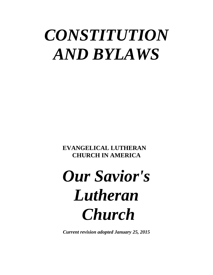## *CONSTITUTION AND BYLAWS*

**EVANGELICAL LUTHERAN CHURCH IN AMERICA**

# *Our Savior's Lutheran Church*

*Current revision adopted January 25, 2015*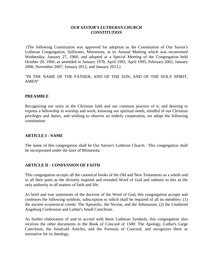#### *OUR SAVIOR'S LUTHERAN CHURCH CONSTITUTION*

(The following Constitution was approved for adoption as the Constitution of Our Savior's Lutheran Congregation, Stillwater, Minnesota, at its Annual Meeting which was reconvened Wednesday, January 27, 1960, and adopted at a Special Meeting of the Congregation held October 20, 1960, as amended in January 1970, April 1992, April 1995, February 2002, January 2006, November 2007, January 2012, and January 2013.)

"IN THE NAME OF THE FATHER, AND OF THE SON, AND OF THE HOLY SPIRIT, AMEN"

#### **PREAMBLE**

Recognizing our unity in the Christian faith and our common practice of it, and desiring to express a fellowship in worship and work; knowing our spiritual needs, mindful of our Christian privileges and duties, and wishing to observe an orderly cooperation, we adopt the following constitution:

#### **ARTICLE I - NAME**

The name of this congregation shall be Our Savior's Lutheran Church. This congregation shall be incorporated under the laws of Minnesota.

#### **ARTICLE II - CONFESSION OF FAITH**

This congregation accepts all the canonical books of the Old and New Testaments as a whole and in all their parts as the divinely inspired and revealed Word of God and submits to this as the only authority in all matters of faith and life.

As brief and true statements of the doctrine of the Word of God, this congregation accepts and confesses the following symbols, subscription to which shall be required of all its members: (1) the ancient ecumenical creeds: The Apostolic, the Nicene, and the Athanasian, (2) the Unaltered Augsburg Confession and Luther's Small Catechism.

As further elaboration of and in accord with these Lutheran Symbols, this congregation also receives the other documents in the Book of Concord of 1580: The Apology, Luther's Large Catechism, the Smalcald Articles, and the Formula of Concord; and recognizes them as normative for its theology.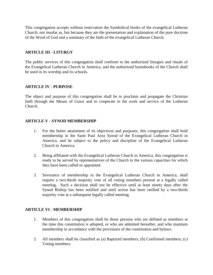This congregation accepts without reservation the Symbolical books of the evangelical Lutheran Church, not insofar as, but because they are the presentation and explanation of the pure doctrine of the Word of God and a summary of the faith of the evangelical Lutheran Church.

#### **ARTICLE III - LITURGY**

The public services of this congregation shall conform to the authorized liturgies and rituals of the Evangelical Lutheran Church in America, and the authorized hymnbooks of the Church shall be used in its worship and its schools.

#### **ARTICLE IV - PURPOSE**

The object and purpose of this congregation shall be to proclaim and propagate the Christian faith through the Means of Grace and to cooperate in the work and service of the Lutheran Church.

#### **ARTICLE V - SYNOD MEMBERSHIP**

- 1. For the better attainment of its objectives and purposes, this congregation shall hold membership in the Saint Paul Area Synod of the Evangelical Lutheran Church in America, and be subject to the policy and discipline of the Evangelical Lutheran Church in America.
- 2. Being affiliated with the Evangelical Lutheran Church in America, this congregation is ready to be served by representatives of the Church in the various capacities for which they have been called or appointed.
- 3. Severance of membership in the Evangelical Lutheran Church in America, shall require a two-thirds majority vote of all voting members present at a legally called meeting. Such a decision shall not be effective until at least ninety days after the Synod Bishop has been notified and until action has been ratified by a two-thirds majority vote at a subsequent legally called meeting.

#### **ARTICLE VI - MEMBERSHIP**

- 1. Members of this congregation shall be those persons who are defined as members at the time this constitution is adopted, or who are admitted hereafter, and who maintain membership in accordance with the provisions of the constitution and bylaws.
- 2. All members shall be classified as (a) Baptized members; (b) Confirmed members; (c) Voting members.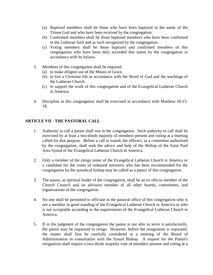- (a) Baptized members shall be those who have been baptized in the name of the Triune God and who have been received by the congregation.
- (b) Confirmed members shall be those baptized members who have been confirmed in the Lutheran faith and as such recognized by the congregation.
- (c) Voting members shall be those baptized and confirmed members of this congregation who have been duly accorded this status by the congregation in accordance with its bylaws.
- 3. Members of this congregation shall be required:
	- (a) to make diligent use of the Means of Grace
	- (b) to live a Christian life in accordance with the Word of God and the teachings of the Lutheran Church
	- (c) to support the work of this congregation and of the Evangelical Lutheran Church in America.
- 4. Discipline in this congregation shall be exercised in accordance with Matthew 18:15- 18.

#### **ARTICLE VII - THE PASTORAL CALL**

- 1. Authority to call a pastor shall rest in the congregation. Such authority to call shall be exercised by at least a two-thirds majority of members present and voting at a meeting called for that purpose. Before a call is issued, the officers, or a committee authorized by the congregation, shall seek the advice and help of the Bishop of the Saint Paul Area Synod of the Evangelical Lutheran Church in America.
- 2. Only a member of the clergy roster of the Evangelical Lutheran Church in America or a candidate for the roster of ordained ministers who has been recommended for the congregation by the synodical bishop may be called as a pastor of this congregation.
- 3. The pastor, as spiritual leader of the congregation, shall be an ex officio member of the Church Council and an advisory member of all other boards, committees, and organizations of the congregation.
- 4. No one shall be permitted to officiate in the pastoral office of this congregation who is not a member in good standing of the Evangelical Lutheran Church in America or who is not acceptable according to the requirements of the Evangelical Lutheran Church in America.
- 5. If in the judgment of the congregation the pastor is not able to serve it satisfactorily, the pastor may be requested to resign. However, before the resignation is requested, the matter shall first be carefully considered at a meeting of the Board of Administration in consultation with the Synod Bishop. A request for the Pastor's resignation shall require a two-thirds majority vote of members present and voting at a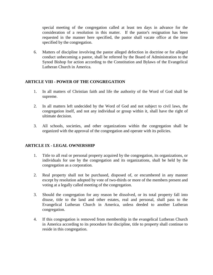special meeting of the congregation called at least ten days in advance for the consideration of a resolution in this matter. If the pastor's resignation has been requested in the manner here specified, the pastor shall vacate office at the time specified by the congregation.

6. Matters of discipline involving the pastor alleged defection in doctrine or for alleged conduct unbecoming a pastor, shall be referred by the Board of Administration to the Synod Bishop for action according to the Constitution and Bylaws of the Evangelical Lutheran Church in America.

#### **ARTICLE VIII - POWER OF THE CONGREGATION**

- 1. In all matters of Christian faith and life the authority of the Word of God shall be supreme.
- 2. In all matters left undecided by the Word of God and not subject to civil laws, the congregation itself, and not any individual or group within it, shall have the right of ultimate decision.
- 3. All schools, societies, and other organizations within the congregation shall be organized with the approval of the congregation and operate with its policies.

#### **ARTICLE IX - LEGAL OWNERSHIP**

- 1. Title to all real or personal property acquired by the congregation, its organizations, or individuals for use by the congregation and its organizations, shall be held by the congregation as a corporation.
- 2. Real property shall not be purchased, disposed of, or encumbered in any manner except by resolution adopted by vote of two-thirds or more of the members present and voting at a legally called meeting of the congregation.
- 3. Should the congregation for any reason be dissolved, or its total property fall into disuse, title to the land and other estates, real and personal, shall pass to the Evangelical Lutheran Church in America, unless deeded to another Lutheran congregation.
- 4. If this congregation is removed from membership in the evangelical Lutheran Church in America according to its procedure for discipline, title to property shall continue to reside in this congregation.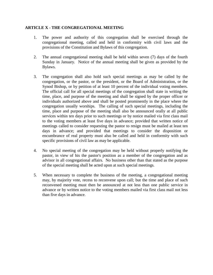#### **ARTICLE X - THE CONGREGATIONAL MEETING**

- 1. The power and authority of this congregation shall be exercised through the congregational meeting, called and held in conformity with civil laws and the provisions of the Constitution and Bylaws of this congregation.
- 2. The annual congregational meeting shall be held within seven (7) days of the fourth Sunday in January. Notice of the annual meeting shall be given as provided by the Bylaws.
- 3. The congregation shall also hold such special meetings as may be called by the congregation, or the pastor, or the president, or the Board of Administration, or the Synod Bishop, or by petition of at least 10 percent of the individual voting members. The official call for all special meetings of the congregation shall state in writing the time, place, and purpose of the meeting and shall be signed by the proper officer or individuals authorized above and shall be posted prominently in the place where the congregation usually worships. The calling of such special meetings, including the time, place and purpose of the meeting shall also be announced orally at all public services within ten days prior to such meetings or by notice mailed via first class mail to the voting members at least five days in advance; provided that written notice of meetings called to consider requesting the pastor to resign must be mailed at least ten days in advance; and provided that meetings to consider the disposition or encumbrance of real property must also be called and held in conformity with such specific provisions of civil law as may be applicable.
- 4. No special meeting of the congregation may be held without properly notifying the pastor, in view of his the pastor's position as a member of the congregation and as advisor in all congregational affairs. No business other than that stated as the purpose of the special meeting shall be acted upon at such special meetings.
- 5. When necessary to complete the business of the meeting, a congregational meeting may, by majority vote, recess to reconvene upon call; but the time and place of such reconvened meeting must then be announced at not less than one public service in advance or by written notice to the voting members mailed via first class mail not less than five days in advance.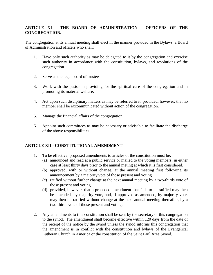#### **ARTICLE XI - THE BOARD OF ADMINISTRATION - OFFICERS OF THE CONGREGATION.**

The congregation at its annual meeting shall elect in the manner provided in the Bylaws, a Board of Administration and officers who shall:

- 1. Have only such authority as may be delegated to it by the congregation and exercise such authority in accordance with the constitution, bylaws, and resolutions of the congregation.
- 2. Serve as the legal board of trustees.
- 3. Work with the pastor in providing for the spiritual care of the congregation and in promoting its material welfare.
- 4. Act upon such disciplinary matters as may be referred to it, provided, however, that no member shall be excommunicated without action of the congregation.
- 5. Manage the financial affairs of the congregation.
- 6. Appoint such committees as may be necessary or advisable to facilitate the discharge of the above responsibilities.

#### **ARTICLE XII - CONSTITUTIONAL AMENDMENT**

- 1. To be effective, proposed amendments to articles of the constitution must be:
	- (a) announced and read at a public service or mailed to the voting members; in either case at least thirty days prior to the annual meting at which it is first considered.
	- (b) approved, with or without change, at the annual meeting first following its announcement by a majority vote of those present and voting.
	- (c) ratified without further change at the next annual meeting by a two-thirds vote of those present and voting.
	- (d) provided, however, that a proposed amendment that fails to be ratified may then be amended, by majority vote, and, if approved as amended, by majority vote, may then be ratified without change at the next annual meeting thereafter, by a two-thirds vote of those present and voting.
- 2. Any amendments to this constitution shall be sent by the secretary of this congregation to the synod. The amendment shall become effective within 120 days from the date of the receipt of the notice by the synod unless the synod informs this congregation that the amendment is in conflict with the constitution and bylaws of the Evangelical Lutheran Church in America or the constitution of the Saint Paul Area Synod.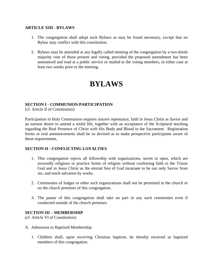#### **ARTICLE XIII - BYLAWS**

- 1. The congregation shall adopt such Bylaws as may be found necessary, except that no Bylaw may conflict with this constitution.
- 2. Bylaws may be amended at any legally called meeting of the congregation by a two-thirds majority vote of those present and voting, provided the proposed amendment has been announced and read at a public service or mailed to the voting members, in either case at least two weeks prior to the meeting.

### **BYLAWS**

#### **SECTION I - COMMUNION PARTICIPATION**

(cf. Article II of Constitution)

Participation in Holy Communion requires sincere repentance, faith in Jesus Christ as Savior and an earnest desire to amend a sinful life, together with an acceptance of the Scriptural teaching regarding the Real Presence of Christ with His Body and Blood in the Sacrament. Registration forms or oral announcements shall be so devised as to make prospective participants aware of these requirements.

#### **SECTION II - CONFLICTING LOYALTIES**

- 1. This congregation rejects all fellowship with organizations, secret or open, which are avowedly religious or practice forms of religion without confessing faith in the Triune God and in Jesus Christ as the eternal Son of God incarnate to be our only Savior from sin, and teach salvation by works.
- 2. Ceremonies of lodges or other such organizations shall not be permitted in the church or on the church premises of this congregation.
- 3. The pastor of this congregation shall take no part in any such ceremonies even if conducted outside of the church premises.

#### **SECTION III – MEMBERSHIP**

(cf. Article VI of Constitution)

- A. Admission to Baptized Membership
	- 1. Children shall, upon receiving Christian baptism, be thereby received as baptized members of this congregation.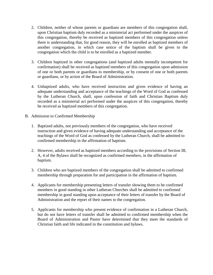- 2. Children, neither of whose parents or guardians are members of this congregation shall, upon Christian baptism duly recorded as a ministerial act performed under the auspices of this congregation, thereby be received as baptized members of this congregation unless there is understanding that, for good reason, they will be enrolled as baptized members of another congregation, in which case notice of the baptism shall be given to the congregation which the child is to be enrolled as a baptized member.
- 3. Children baptized in other congregations (and baptized adults mentally incompetent for confirmation) shall be received as baptized members of this congregation upon admission of one or both parents or guardians to membership, or by consent of one or both parents or guardians, or by action of the Board of Administration.
- 4. Unbaptized adults, who have received instruction and given evidence of having an adequate understanding and acceptance of the teachings of the Word of God as confessed by the Lutheran Church, shall, upon confession of faith and Christian Baptism duly recorded as a ministerial act performed under the auspices of this congregation, thereby be received as baptized members of this congregation.
- B. Admission to Confirmed Membership
	- 1. Baptized adults, not previously members of the congregation, who have received instruction and given evidence of having adequate understanding and acceptance of the teachings of the Word of God as confessed by the Lutheran Church, shall be admitted to confirmed membership in the affirmation of baptism.
	- 2. However, adults received as baptized members according to the provisions of Section III, A, 4 of the Bylaws shall be recognized as confirmed members, in the affirmation of baptism.
	- 3. Children who are baptized members of the congregation shall be admitted to confirmed membership through preparation for and participation in the affirmation of baptism.
	- 4. Applicants for membership presenting letters of transfer showing them to be confirmed members in good standing in other Lutheran Churches shall be admitted to confirmed membership in good standing upon acceptance of their letters of transfer by the Board of Administration and the report of their names to the congregation.
	- 5. Applicants for membership who present evidence of confirmation in a Lutheran Church, but do not have letters of transfer shall be admitted to confirmed membership when the Board of Administration and Pastor have determined that they meet the standards of Christian faith and life indicated in the constitution and bylaws.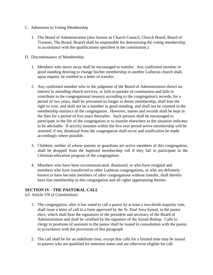- C. Admission to Voting Membership
	- 1. The Board of Administration (also known as Church Council, Church Board, Board of Trustees, The Board, Board) shall be responsible for determining the voting membership in accordance with the qualifications specified in the constitution.).
- D. Discontinuance of Membership
	- 1. Members who move away shall be encouraged to transfer. Any confirmed member in good standing desiring to change his/her membership to another Lutheran church shall, upon request, be entitled to a letter of transfer.
	- 2. Any confirmed member who in the judgment of the Board of Administration shows no interest in attending church services, or fails to partake of communion and fails to contribute to the congregational treasury according to the congregation's records, for a period of two years, shall be presumed no longer to desire membership, shall lose the right to vote, and shall not be a member in good standing, and shall not be counted in the membership statistics of the congregation. However, names and records shall be kept in the files for a period of five years thereafter. Such persons shall be encouraged to participate in the life of the congregation or to transfer elsewhere as the situation indicates to be advisable. If activity resumes within the five year period active membership will be restored; if not, dismissal from the congregation shall occur and notification be made accordingly where possible.
	- 3. Children, neither of whose parents or guardians are active members of this congregation, shall be dropped from the baptized membership roll if they fail to participate in the Christian education program of the congregation.
	- 4. Members who have been excommunicated, dismissed, or who have resigned and members who have transferred to other Lutheran congregations, or who are definitely known to have become members of other congregations without transfer, shall thereby have lost membership in this congregation and all rights appertaining thereto.

#### **SECTION IV - THE PASTORAL CALL**

(cf. Article VII of Constitution)

- 1. The congregation, after it has voted to call a pastor by at least a two-thirds majority vote, shall issue a letter of call in a form approved by the St. Paul Area Synod, to the pastor elect, which shall bear the signatures of the president and secretary of the Board of Administration and shall be certified by the signature of the Synod Bishop. Calls to clergy to positions of assistant to the pastor shall be issued in consultation with the pastor, in accordance with the provisions of this paragraph.
- 2. The call shall be for an indefinite time, except that calls for a limited time may be issued to pastors who are qualified for emeritus status and are otherwise eligible for call.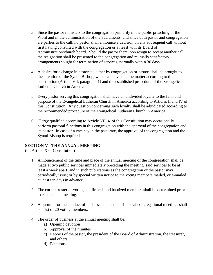- 3. Since the pastor ministers to the congregation primarily in the public preaching of the Word and in the administration of the Sacraments, and since both pastor and congregation are parties to the call, no pastor shall announce a decision on any subsequent call without first having consulted with the congregation or at least with its Board of Administration/church board. Should the pastor thereupon resign to accept another call, the resignation shall be presented to the congregation and mutually satisfactory arrangements sought for termination of services, normally within 30 days.
- 4. A desire for a change in pastorate, either by congregation or pastor, shall be brought to the attention of the Synod Bishop, who shall advise in the matter according to this constitution (Article VII, paragraph 1) and the established procedure of the Evangelical Lutheran Church in America.
- 5. Every pastor serving this congregation shall have an undivided loyalty to the faith and purpose of the Evangelical Lutheran Church in America according to Articles II and IV of this Constitution. Any question concerning such loyalty shall be adjudicated according to the recommended procedure of the Evangelical Lutheran Church in America.
- 6. Clergy qualified according to Article VII, 4, of this Constitution may occasionally perform pastoral functions in this congregation with the approval of the congregation and its pastor. In case of a vacancy in the pastorate, the approval of the congregation and the Synod Bishop is required.

#### **SECTION V - THE ANNUAL MEETING**

(cf. Article X of Constitution)

- 1. Announcement of the time and place of the annual meeting of the congregation shall be made at two public services immediately preceding the meeting, said services to be at least a week apart, and in such publications as the congregation or the pastor may periodically issue; or by special written notice to the voting members mailed, or e-mailed at least ten days in advance.
- 2. The current roster of voting, confirmed, and baptized members shall be determined prior to each annual meeting.
- 3. A quorum for the conduct of business at annual and special congregational meetings shall consist of 20 voting members.
- 4. The order of business at the annual meeting shall be:
	- a) Opening devotion
	- b) Approval of the minutes
	- c) Reports of the pastor, the president of the Board of Administration, the treasurer, and others.
	- d) Elections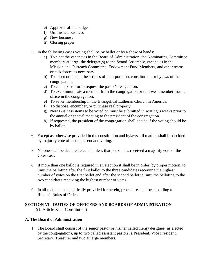- e) Approval of the budget
- f) Unfinished business
- g) New business
- h) Closing prayer
- 5. In the following cases voting shall be by ballot or by a show of hands:
	- a) To elect the vacancies in the Board of Administration, the Nominating Committee members at large, the delegate(s) to the Synod Assembly, vacancies in the Mission and Outreach Committee, Endowment Fund Members, and other teams or task forces as necessary.
	- b) To adopt or amend the articles of incorporation, constitution, or bylaws of the congregation.
	- c) To call a pastor or to request the pastor's resignation.
	- d) To excommunicate a member from the congregation or remove a member from an office in the congregation.
	- e) To sever membership in the Evangelical Lutheran Church in America.
	- f) To dispose, encumber, or purchase real property.
	- g) New Business items to be voted on must be submitted in writing 3 weeks prior to the annual or special meeting to the president of the congregation.
	- h) If requested, the president of the congregation shall decide if the voting should be by ballot.
- 6. Except as otherwise provided in the constitution and bylaws, all matters shall be decided by majority vote of those present and voting.
- 7. No one shall be declared elected unless that person has received a majority vote of the votes cast.
- 8. If more than one ballot is required in an election it shall be in order, by proper motion, to limit the balloting after the first ballot to the three candidates receiving the highest number of votes on the first ballot and after the second ballot to limit the balloting to the two candidates receiving the highest number of votes.
- 9. In all matters not specifically provided for herein, procedure shall be according to Robert's Rules of Order.

### **SECTION VI - DUTIES OF OFFICERS AND BOARDS OF ADMINISTRATION**

(cf. Article XI of Constitution)

#### **A. The Board of Administration**

1. The Board shall consist of the senior pastor or his/her called clergy designee (as elected by the congregation), up to two called assistant pastors, a President, Vice President, Secretary, Treasurer and two at large members.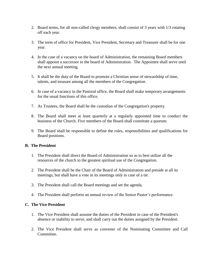- 2. Board terms, for all non-called clergy members, shall consist of 3 years with 1/3 rotating off each year.
- 3. The term of office for President, Vice President, Secretary and Treasurer shall be for one year.
- 4. In the case of a vacancy on the board of Administration, the remaining Board members shall appoint a successor to the board of Administration. The Appointee shall serve until the next annual meeting.
- 5. It shall be the duty of the Board to promote a Christian sense of stewardship of time, talents, and treasure among all the members of the Congregation.
- 6. In case of a vacancy in the Pastoral office, the Board shall make temporary arrangements for the usual functions of this office.
- 7. As Trustees, the Board shall be the custodian of the Congregation's property.
- 8. The Board shall meet at least quarterly at a regularly appointed time to conduct the business of the Church. Five members of the Board shall constitute a quorum.
- 9. The Board shall be responsible to define the roles, responsibilities and qualifications for Board positions.

#### **B. The President**

- 1. The President shall direct the Board of Administration so as to best utilize all the resources of the church to the greatest spiritual use of the Congregation.
- 2. The President shall be the Chair of the Board of Administration and preside at all its meetings, but shall have a vote in its meetings only in case of a tie.
- 3. The President shall call the Board meetings and set the agenda.
- 4. The President shall perform an annual review of the Senior Pastor's performance.

#### **C. The Vice President**

- 1. The Vice President shall assume the duties of the President in case of the President's absence or inability to serve, and shall carry out the duties assigned by the President.
- 2. The Vice President shall serve as convener of the Nominating Committee and Call **Committee**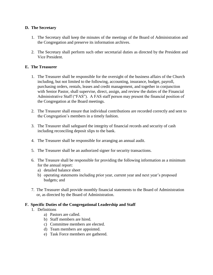#### **D. The Secretary**

- 1. The Secretary shall keep the minutes of the meetings of the Board of Administration and the Congregation and preserve its information archives.
- 2. The Secretary shall perform such other secretarial duties as directed by the President and Vice President.

#### **E. The Treasurer**

- 1. The Treasurer shall be responsible for the oversight of the business affairs of the Church including, but not limited to the following, accounting, insurance, budget, payroll, purchasing orders, rentals, leases and credit management, and together in conjunction with Senior Pastor, shall supervise, direct, assign, and review the duties of the Financial Administrative Staff ("FAS"). A FAS staff person may present the financial position of the Congregation at the Board meetings.
- 2. The Treasurer shall ensure that individual contributions are recorded correctly and sent to the Congregation's members in a timely fashion.
- 3. The Treasurer shall safeguard the integrity of financial records and security of cash including reconciling deposit slips to the bank.
- 4. The Treasurer shall be responsible for arranging an annual audit.
- 5. The Treasurer shall be an authorized signer for security transactions.
- 6. The Treasure shall be responsible for providing the following information as a minimum for the annual report:
	- a) detailed balance sheet
	- b) operating statements including prior year, current year and next year's proposed budgets; and
- 7. The Treasurer shall provide monthly financial statements to the Board of Administration or, as directed by the Board of Administration.

#### **F. Specific Duties of the Congregational Leadership and Staff**

- 1. Definitions
	- a) Pastors are called.
	- b) Staff members are hired.
	- c) Committee members are elected.
	- d) Team members are appointed.
	- e) Task Force members are gathered.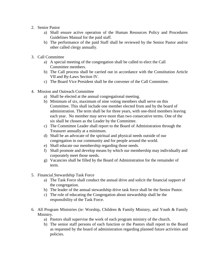- 2. Senior Pastor
	- a) Shall ensure active operation of the Human Resources Policy and Procedures Guidelines Manual for the paid staff.
	- b) The performance of the paid Staff shall be reviewed by the Senior Pastor and/or other called clergy annually.
- 3. Call Committee
	- a) A special meeting of the congregation shall be called to elect the Call Committee members.
	- b) The Call process shall be carried out in accordance with the Constitution Article VII and By-Laws Section IV.
	- c) The Board Vice President shall be the convener of the Call Committee.
- 4. Mission and Outreach Committee
	- a) Shall be elected at the annual congregational meeting.
	- b) Minimum of six, maximum of nine voting members shall serve on this Committee. This shall include one member elected from and by the board of administration. The term shall be for three years, with one-third members leaving each year. No member may serve more than two consecutive terms. One of the six shall be chosen as the Leader by the Committee.
	- c) The Committee Leader shall report to the Board of Administration through the Treasurer annually at a minimum.
	- d) Shall be an advocate of the spiritual and physical needs outside of our congregation in our community and for people around the world.
	- e) Shall educate our membership regarding those needs.
	- f) Shall promote and develop means by which our membership may individually and corporately meet those needs.
	- g) Vacancies shall be filled by the Board of Administration for the remainder of term.
- 5. Financial Stewardship Task Force
	- a) The Task Force shall conduct the annual drive and solicit the financial support of the congregation.
	- b) The leader of the annual stewardship drive task force shall be the Senior Pastor.
	- c) The role of educating the Congregation about stewardship shall be the responsibility of the Task Force.
- 6. All Program Ministries (ie: Worship, Children & Family Ministry, and Youth & Family Ministry.
	- a) Pastors shall supervise the work of each program ministry of the church.
	- b) The senior staff persons of each function or the Pastors shall report to the Board as requested by the board of administration regarding planned future activities and policies.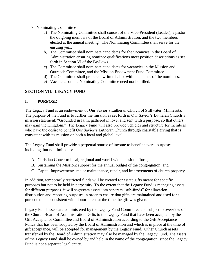- 7. Nominating Committee
	- a) The Nominating Committee shall consist of the Vice-President (Leader), a pastor, the outgoing members of the Board of Administration, and the two members elected at the annual meeting. The Nominating Committee shall serve for the ensuing year.
	- b) The Committee shall nominate candidates for the vacancies in the Board of Administration ensuring nominee qualifications meet position descriptions as set forth in Section VI of the By-Laws.
	- c) The Committee shall nominate candidates for vacancies in the Mission and Outreach Committee, and the Mission Endowment Fund Committee.
	- d) The Committee shall prepare a written ballot with the names of the nominees.
	- e) Vacancies on the Nominating Committee need not be filled.

#### **SECTION VII: LEGACY FUND**

#### **I. PURPOSE**

The Legacy Fund is an endowment of Our Savior's Lutheran Church of Stillwater, Minnesota. The purpose of the Fund is to further the mission as set forth in Our Savior's Lutheran Church's mission statement: "Grounded in faith, gathered in love, and sent with a purpose, so that others may gain the Kingdom." The Legacy Fund will also provide vehicles and structure for members who have the desire to benefit Our Savior's Lutheran Church through charitable giving that is consistent with its mission on both a local and global level.

The Legacy Fund shall provide a perpetual source of income to benefit several purposes, including, but not limited to:

- A. Christian Concern: local, regional and world-wide mission efforts;
- B. Sustaining the Mission: support for the annual budget of the congregation; and
- C. Capital Improvement: major maintenance, repair, and improvements of church property.

In addition, temporarily restricted funds will be created for estate gifts meant for specific purposes but not to be held in perpetuity. To the extent that the Legacy Fund is managing assets for different purposes, it will segregate assets into separate "sub-funds" for allocation, distribution and reporting purposes in order to ensure that gifts are maintained and used for a purpose that is consistent with donor intent at the time the gift was given.

Legacy Fund assets are administered by the Legacy Fund Committee and subject to overview of the Church Board of Administration. Gifts to the Legacy Fund that have been accepted by the Gift Acceptance Committee and Board of Administration according to the Gift Acceptance Policy that has been adopted by the Board of Administration and which is in place at the time of gift acceptance, will be accepted for management by the Legacy Fund. Other Church assets transferred by the Board of Administration may also be managed by the Legacy Fund. The assets of the Legacy Fund shall be owned by and held in the name of the congregation, since the Legacy Fund is not a separate legal entity.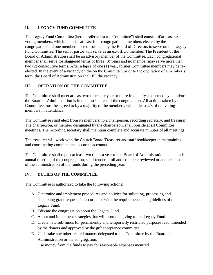#### **II. LEGACY FUND COMMITTEE**

The Legacy Fund Committee (herein referred to as "Committee") shall consist of at least six voting members, which includes at least four congregational members elected by the congregation and one member elected from and by the Board of Directors to serve on the Legacy Fund Committee. The senior pastor will serve as an ex-officio member. The President of the Board of Administration shall be an advisory member of the Committee. Each congregational member shall serve for staggered terms of three (3) years and no member may serve more than two (2) consecutive terms. After a lapse of one (1) year, former Committee members may be reelected. In the event of a vacancy on the on the Committee prior to the expiration of a member's term, the Board of Administration shall fill the vacancy.

#### **III. OPERATION OF THE COMMITTEE**

The Committee shall meet at least two times per year or more frequently as deemed by it and/or the Board of Administration is in the best interest of the congregation. All actions taken by the Committee must be agreed to by a majority of the members, with at least 2/3 of the voting members in attendance.

The Committee shall elect from its membership a chairperson, recording secretary, and treasurer. The chairperson, or member designated by the chairperson, shall preside at all Committee meetings. The recording secretary shall maintain complete and accurate minutes of all meetings.

The treasurer will work with the Church Board Treasurer and staff bookkeeper in maintaining and coordinating complete and accurate accounts.

The Committee shall report at least two times a year to the Board of Administration and at each annual meeting of the congregation, shall render a full and complete reviewed or audited account of the administration of the funds during the preceding year.

#### **IV. DUTIES OF THE COMMITTEE**

The Committee is authorized to take the following actions:

- A. Determine and implement procedures and policies for soliciting, processing and disbursing grant requests in accordance with the requirements and guidelines of the Legacy Fund.
- B. Educate the congregation about the Legacy Fund.
- C. Adopt and implement strategies that will promote giving to the Legacy Fund.
- D. Create new sub-funds for permanently and temporarily restricted purposes recommended by the donors and approved by the gift acceptance committee.
- E. Undertake any other related matters delegated to the Committee by the Board of Administration or the congregation.
- F. Use money from the funds to pay for reasonable expenses incurred.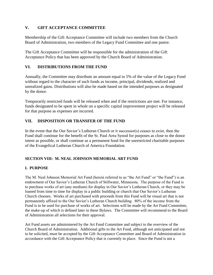#### **V. GIFT ACCEPTANCE COMMITTEE**

Membership of the Gift Acceptance Committee will include two members from the Church Board of Administration, two members of the Legacy Fund Committee and one pastor.

The Gift Acceptance Committee will be responsible for the administration of the Gift Acceptance Policy that has been approved by the Church Board of Administration.

#### **VI. DISTRIBUTIONS FROM THE FUND**

Annually, the Committee may distribute an amount equal to 5% of the value of the Legacy Fund without regard to the character of such funds as income, principal, dividends, realized and unrealized gains. Distributions will also be made based on the intended purposes as designated by the donor.

Temporarily restricted funds will be released when and if the restrictions are met. For instance, funds designated to be spent in whole on a specific capital improvement project will be released for that purpose as expenses are incurred.

#### **VII. DISPOSITION OR TRANSFER OF THE FUND**

In the event that the Our Savior's Lutheran Church or it successor(s) ceases to exist, then the Fund shall continue for the benefit of the St. Paul Area Synod for purposes as close to the donor intent as possible, or shall continue as a permanent fund for the unrestricted charitable purposes of the Evangelical Lutheran Church of America Foundation.

#### **SECTION VIII: M. NEAL JOHNSON MEMORIAL ART FUND**

#### **I. PURPOSE**

The M. Neal Johnson Memorial Art Fund (herein referred to as "the Art Fund" or "the Fund") is an endowment of Our Savior's Lutheran Church of Stillwater, Minnesota. The purpose of the Fund is to purchase works of art (any medium) for display in Our Savior's Lutheran Church, or they may be loaned from time to time for display in a public building or church that Our Savior's Lutheran Church chooses. Works of art purchased with proceeds from this Fund will be visual art that is not permanently affixed to the Our Savior's Lutheran Church building. 80% of the income from the Fund is to be used for purchase of works of art. Selections will be made by the Art Fund Committee, the make-up of which is defined later in these Bylaws. The Committee will recommend to the Board of Administration all selections for their approval.

Art Fund assets are administered by the Art Fund Committee and subject to the overview of the Church Board of Administration. Additional gifts to the Art Fund, although not anticipated and not to be solicited, must be accepted by the Gift Acceptance Committee and Board of Administration in accordance with the Gift Acceptance Policy that is currently in place. Since the Fund is not a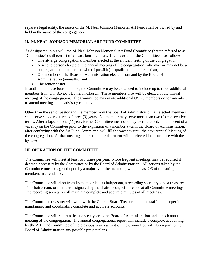separate legal entity, the assets of the M. Neal Johnson Memorial Art Fund shall be owned by and held in the name of the congregation.

#### **II. M. NEAL JOHNSON MEMORIAL ART FUND COMMITTEE**

As designated in his will, the M. Neal Johnson Memorial Art Fund Committee (herein referred to as "Committee") will consist of at least four members. The make-up of the Committee is as follows:

- One at-large congregational member elected at the annual meeting of the congregation,
- A second person elected at the annual meeting of the congregation, who may or may not be a congregational member and who (if possible) is qualified in the field of art,
- One member of the Board of Administration elected from and by the Board of Administration (annually), and
- The senior pastor.

In addition to these four members, the Committee may be expanded to include up to three additional members from Our Savior's Lutheran Church. These members also will be elected at the annual meeting of the congregation. The Committee may invite additional OSLC members or non-members to attend meetings in an advisory capacity.

Other than the senior pastor and the member from the Board of Administration, all elected members shall serve staggered terms of three (3) years. No member may serve more than two (2) consecutive terms. After a lapse of one (1) year, former Committee members may be re-elected. In the event of a vacancy on the Committee prior to the expiration of a member's term, the Board of Administration, after conferring with the Art Fund Committee, will fill the vacancy until the next Annual Meeting of the congregation. At that meeting, a permanent replacement will be elected in accordance with the by-laws.

#### **III. OPERATION OF THE COMMITTEE**

The Committee will meet at least two times per year. More frequent meetings may be required if deemed necessary by the Committee or by the Board of Administration. All actions taken by the Committee must be agreed upon by a majority of the members, with at least 2/3 of the voting members in attendance.

The Committee will elect from its membership a chairperson, a recording secretary, and a treasurer. The chairperson, or member designated by the chairperson, will preside at all Committee meetings. The recording secretary will maintain complete and accurate minutes of all meetings.

The Committee treasurer will work with the Church Board Treasurer and the staff bookkeeper in maintaining and coordinating complete and accurate accounts.

The Committee will report at least once a year to the Board of Administration and at each annual meeting of the congregation. The annual congregational report will include a complete accounting by the Art Fund Committee of the previous year's activity. The Committee will also report to the Board of Administration any possible project plans.